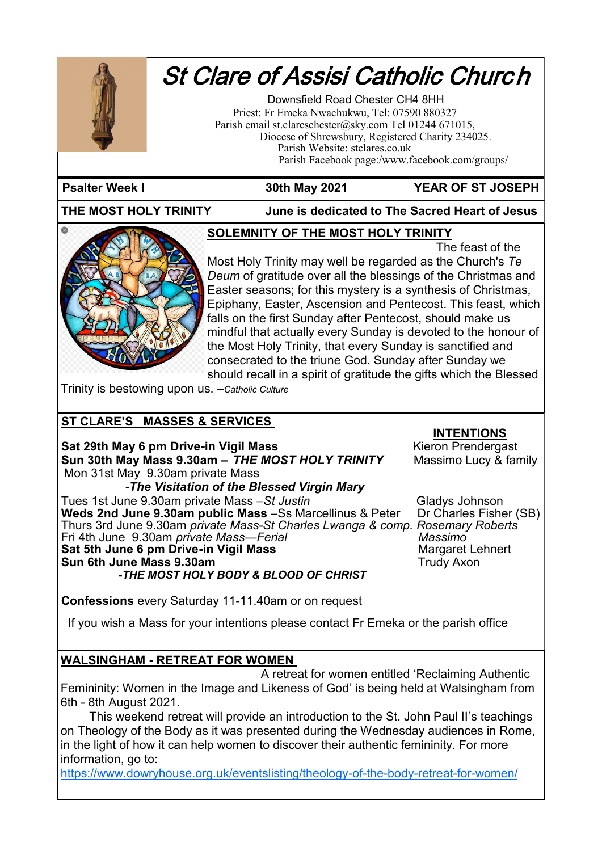

# St Clare of Assisi Catholic Churc h

 Downsfield Road Chester CH4 8HH Priest: Fr Emeka Nwachukwu, Tel: 07590 880327 Parish email st.clareschester@sky.com Tel 01244 671015, Diocese of Shrewsbury, Registered Charity 234025. Parish Website: stclares.co.uk Parish Facebook page:/www.facebook.com/groups/

### Psalter Week I **30th May 2021** YEAR OF ST JOSEPH

### **THE MOST HOLY TRINITY June is dedicated to The Sacred Heart of Jesus**



## **SOLEMNITY OF THE MOST HOLY TRINITY**

The feast of the Most Holy Trinity may well be regarded as the Church's *Te Deum* of gratitude over all the blessings of the Christmas and Easter seasons; for this mystery is a synthesis of Christmas, Epiphany, Easter, Ascension and Pentecost. This feast, which falls on the first Sunday after Pentecost, should make us mindful that actually every Sunday is devoted to the honour of the Most Holy Trinity, that every Sunday is sanctified and consecrated to the triune God. Sunday after Sunday we should recall in a spirit of gratitude the gifts which the Blessed

Trinity is bestowing upon us. –*Catholic Culture*

# **ST CLARE'S MASSES & SERVICES**

**Sat 29th May 6 pm Drive-in Vigil Mass** Kieron Prendergast Sun 30th May Mass 9.30am - *THE MOST HOLY TRINITY* Mon 31st May 9.30am private Mass

# **INTENTIONS**

 *-The Visitation of the Blessed Virgin Mary*  Tues 1st June 9.30am private Mass *– St Justin*<br>**Weds 2nd June 9.30am public Mass** – Ss Marcellinus & Peter Dr Charles Fisher (SB) Weds 2nd June 9.30am public Mass -Ss Marcellinus & Peter Thurs 3rd June 9.30am *private Mass-St Charles Lwanga & comp. Rosemary Roberts*  Fri 4th June 9.30am *private Mass—Ferial Massimo* **Sat 5th June 6 pm Drive-in Vigil Mass Sun 6th June Mass 9.30am Trudy Axon -***THE MOST HOLY BODY & BLOOD OF CHRIST*

**Confessions** every Saturday 11-11.40am or on request

If you wish a Mass for your intentions please contact Fr Emeka or the parish office

# **WALSINGHAM - RETREAT FOR WOMEN**

A retreat for women entitled 'Reclaiming Authentic Femininity: Women in the Image and Likeness of God' is being held at Walsingham from 6th - 8th August 2021.

This weekend retreat will provide an introduction to the St. John Paul II's teachings on Theology of the Body as it was presented during the Wednesday audiences in Rome, in the light of how it can help women to discover their authentic femininity. For more information, go to:

[https://www.dowryhouse.org.uk/eventslisting/theology](https://www.dowryhouse.org.uk/eventslisting/theology-of-the-body-retreat-for-women/)-of-the-body-retreat-for-women/